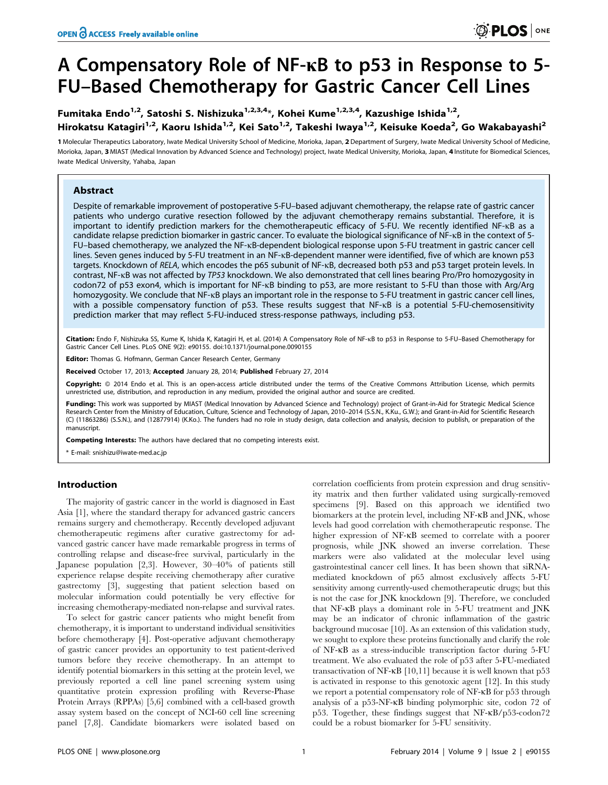# A Compensatory Role of NF-kB to p53 in Response to 5- FU–Based Chemotherapy for Gastric Cancer Cell Lines

# Fumitaka Endo<sup>1,2</sup>, Satoshi S. Nishizuka<sup>1,2,3,4</sup>\*, Kohei Kume<sup>1,2,3,4</sup>, Kazushige Ishida<sup>1,2</sup>, Hirokatsu Katagiri<sup>1,2</sup>, Kaoru Ishida<sup>1,2</sup>, Kei Sato<sup>1,2</sup>, Takeshi Iwaya<sup>1,2</sup>, Keisuke Koeda<sup>2</sup>, Go Wakabayashi<sup>2</sup>

1 Molecular Therapeutics Laboratory, Iwate Medical University School of Medicine, Morioka, Japan, 2 Department of Surgery, Iwate Medical University School of Medicine, Morioka, Japan, 3 MIAST (Medical Innovation by Advanced Science and Technology) project, Iwate Medical University, Morioka, Japan, 4 Institute for Biomedical Sciences, Iwate Medical University, Yahaba, Japan

# Abstract

Despite of remarkable improvement of postoperative 5-FU–based adjuvant chemotherapy, the relapse rate of gastric cancer patients who undergo curative resection followed by the adjuvant chemotherapy remains substantial. Therefore, it is important to identify prediction markers for the chemotherapeutic efficacy of 5-FU. We recently identified NF-kB as a candidate relapse prediction biomarker in gastric cancer. To evaluate the biological significance of NF-kB in the context of 5- FU–based chemotherapy, we analyzed the NF-kB-dependent biological response upon 5-FU treatment in gastric cancer cell lines. Seven genes induced by 5-FU treatment in an NF-kB-dependent manner were identified, five of which are known p53 targets. Knockdown of RELA, which encodes the p65 subunit of NF-kB, decreased both p53 and p53 target protein levels. In contrast, NF-kB was not affected by TP53 knockdown. We also demonstrated that cell lines bearing Pro/Pro homozygosity in codon72 of p53 exon4, which is important for NF-kB binding to p53, are more resistant to 5-FU than those with Arg/Arg homozygosity. We conclude that NF-kB plays an important role in the response to 5-FU treatment in gastric cancer cell lines, with a possible compensatory function of p53. These results suggest that NF-KB is a potential 5-FU-chemosensitivity prediction marker that may reflect 5-FU-induced stress-response pathways, including p53.

Citation: Endo F, Nishizuka SS, Kume K, Ishida K, Katagiri H, et al. (2014) A Compensatory Role of NF-kB to p53 in Response to 5-FU-Based Chemotherapy for Gastric Cancer Cell Lines. PLoS ONE 9(2): e90155. doi:10.1371/journal.pone.0090155

Editor: Thomas G. Hofmann, German Cancer Research Center, Germany

Received October 17, 2013; Accepted January 28, 2014; Published February 27, 2014

Copyright: @ 2014 Endo et al. This is an open-access article distributed under the terms of the [Creative Commons Attribution License,](http://creativecommons.org/licenses/by/4.0/) which permits unrestricted use, distribution, and reproduction in any medium, provided the original author and source are credited.

Funding: This work was supported by MIAST (Medical Innovation by Advanced Science and Technology) project of Grant-in-Aid for Strategic Medical Science Research Center from the Ministry of Education, Culture, Science and Technology of Japan, 2010–2014 (S.S.N., K.Ku., G.W.); and Grant-in-Aid for Scientific Research (C) (11863286) (S.S.N.), and (12877914) (K.Ko.). The funders had no role in study design, data collection and analysis, decision to publish, or preparation of the manuscript.

Competing Interests: The authors have declared that no competing interests exist.

\* E-mail: snishizu@iwate-med.ac.jp

# Introduction

The majority of gastric cancer in the world is diagnosed in East Asia [1], where the standard therapy for advanced gastric cancers remains surgery and chemotherapy. Recently developed adjuvant chemotherapeutic regimens after curative gastrectomy for advanced gastric cancer have made remarkable progress in terms of controlling relapse and disease-free survival, particularly in the Japanese population [2,3]. However, 30–40% of patients still experience relapse despite receiving chemotherapy after curative gastrectomy [3], suggesting that patient selection based on molecular information could potentially be very effective for increasing chemotherapy-mediated non-relapse and survival rates.

To select for gastric cancer patients who might benefit from chemotherapy, it is important to understand individual sensitivities before chemotherapy [4]. Post-operative adjuvant chemotherapy of gastric cancer provides an opportunity to test patient-derived tumors before they receive chemotherapy. In an attempt to identify potential biomarkers in this setting at the protein level, we previously reported a cell line panel screening system using quantitative protein expression profiling with Reverse-Phase Protein Arrays (RPPAs) [5,6] combined with a cell-based growth assay system based on the concept of NCI-60 cell line screening panel [7,8]. Candidate biomarkers were isolated based on

correlation coefficients from protein expression and drug sensitivity matrix and then further validated using surgically-removed specimens [9]. Based on this approach we identified two biomarkers at the protein level, including NF-kB and JNK, whose levels had good correlation with chemotherapeutic response. The higher expression of NF-kB seemed to correlate with a poorer prognosis, while JNK showed an inverse correlation. These markers were also validated at the molecular level using gastrointestinal cancer cell lines. It has been shown that siRNAmediated knockdown of p65 almost exclusively affects 5-FU sensitivity among currently-used chemotherapeutic drugs; but this is not the case for JNK knockdown [9]. Therefore, we concluded that NF-kB plays a dominant role in 5-FU treatment and JNK may be an indicator of chronic inflammation of the gastric background mucosae [10]. As an extension of this validation study, we sought to explore these proteins functionally and clarify the role of NF-kB as a stress-inducible transcription factor during 5-FU treatment. We also evaluated the role of p53 after 5-FU-mediated transactivation of NF-kB [10,11] because it is well known that p53 is activated in response to this genotoxic agent [12]. In this study we report a potential compensatory role of NF-kB for p53 through analysis of a p53-NF-kB binding polymorphic site, codon 72 of p53. Together, these findings suggest that NF-kB/p53-codon72 could be a robust biomarker for 5-FU sensitivity.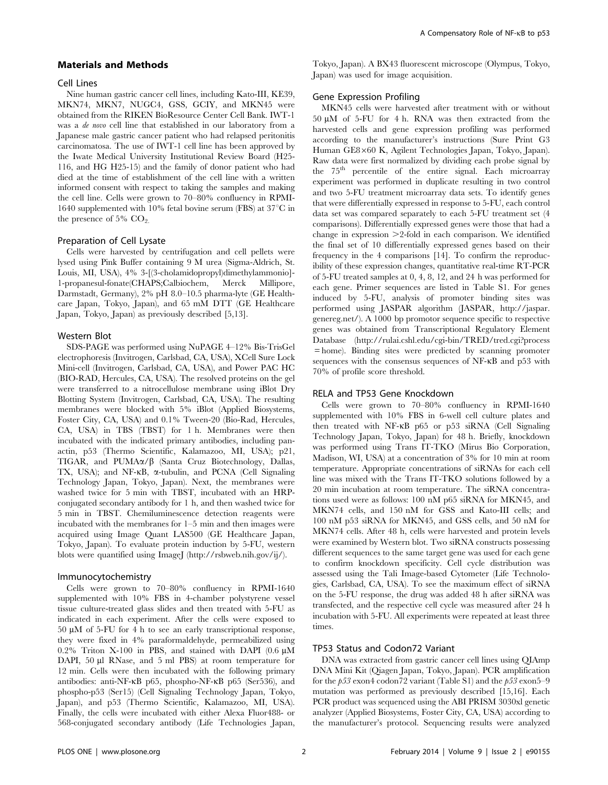## Materials and Methods

#### Cell Lines

Nine human gastric cancer cell lines, including Kato-III, KE39, MKN74, MKN7, NUGC4, GSS, GCIY, and MKN45 were obtained from the RIKEN BioResource Center Cell Bank. IWT-1 was a de novo cell line that established in our laboratory from a Japanese male gastric cancer patient who had relapsed peritonitis carcinomatosa. The use of IWT-1 cell line has been approved by the Iwate Medical University Institutional Review Board (H25- 116, and HG H25-15) and the family of donor patient who had died at the time of establishment of the cell line with a written informed consent with respect to taking the samples and making the cell line. Cells were grown to 70–80% confluency in RPMI-1640 supplemented with 10% fetal bovine serum (FBS) at  $37^{\circ}$ C in the presence of 5%  $CO<sub>2</sub>$ .

# Preparation of Cell Lysate

Cells were harvested by centrifugation and cell pellets were lysed using Pink Buffer containing 9 M urea (Sigma-Aldrich, St. Louis, MI, USA), 4% 3-[(3-cholamidopropyl)dimethylammonio]- 1-propanesul-fonate(CHAPS;Calbiochem, Merck Millipore, Darmstadt, Germany), 2% pH 8.0–10.5 pharma-lyte (GE Healthcare Japan, Tokyo, Japan), and 65 mM DTT (GE Healthcare Japan, Tokyo, Japan) as previously described [5,13].

#### Western Blot

SDS-PAGE was performed using NuPAGE 4–12% Bis-TrisGel electrophoresis (Invitrogen, Carlsbad, CA, USA), XCell Sure Lock Mini-cell (Invitrogen, Carlsbad, CA, USA), and Power PAC HC (BIO-RAD, Hercules, CA, USA). The resolved proteins on the gel were transferred to a nitrocellulose membrane using iBlot Dry Blotting System (Invitrogen, Carlsbad, CA, USA). The resulting membranes were blocked with 5% iBlot (Applied Biosystems, Foster City, CA, USA) and 0.1% Tween-20 (Bio-Rad, Hercules, CA, USA) in TBS (TBST) for 1 h. Membranes were then incubated with the indicated primary antibodies, including panactin, p53 (Thermo Scientific, Kalamazoo, MI, USA); p21, TIGAR, and  $PUMA\alpha/\beta$  (Santa Cruz Biotechnology, Dallas, TX, USA); and NF-KB,  $\alpha$ -tubulin, and PCNA (Cell Signaling Technology Japan, Tokyo, Japan). Next, the membranes were washed twice for 5 min with TBST, incubated with an HRPconjugated secondary antibody for 1 h, and then washed twice for 5 min in TBST. Chemiluminescence detection reagents were incubated with the membranes for 1–5 min and then images were acquired using Image Quant LAS500 (GE Healthcare Japan, Tokyo, Japan). To evaluate protein induction by 5-FU, western blots were quantified using ImageJ [\(http://rsbweb.nih.gov/ij/\)](http://rsbweb.nih.gov/ij/).

#### Immunocytochemistry

Cells were grown to 70–80% confluency in RPMI-1640 supplemented with 10% FBS in 4-chamber polystyrene vessel tissue culture-treated glass slides and then treated with 5-FU as indicated in each experiment. After the cells were exposed to  $50 \mu M$  of 5-FU for 4 h to see an early transcriptional response, they were fixed in 4% paraformaldehyde, permeabilized using 0.2% Triton X-100 in PBS, and stained with DAPI  $(0.6 \mu M)$ DAPI, 50 µl RNase, and 5 ml PBS) at room temperature for 12 min. Cells were then incubated with the following primary antibodies: anti-NF-kB p65, phospho-NF-kB p65 (Ser536), and phospho-p53 (Ser15) (Cell Signaling Technology Japan, Tokyo, Japan), and p53 (Thermo Scientific, Kalamazoo, MI, USA). Finally, the cells were incubated with either Alexa Fluor488- or 568-conjugated secondary antibody (Life Technologies Japan,

Tokyo, Japan). A BX43 fluorescent microscope (Olympus, Tokyo, Japan) was used for image acquisition.

#### Gene Expression Profiling

MKN45 cells were harvested after treatment with or without  $50 \mu M$  of  $5$ -FU for 4 h. RNA was then extracted from the harvested cells and gene expression profiling was performed according to the manufacturer's instructions (Sure Print G3 Human GE8×60 K, Agilent Technologies Japan, Tokyo, Japan). Raw data were first normalized by dividing each probe signal by the  $75<sup>th</sup>$  percentile of the entire signal. Each microarray experiment was performed in duplicate resulting in two control and two 5-FU treatment microarray data sets. To identify genes that were differentially expressed in response to 5-FU, each control data set was compared separately to each 5-FU treatment set (4 comparisons). Differentially expressed genes were those that had a change in expression  $\geq$ 2-fold in each comparison. We identified the final set of 10 differentially expressed genes based on their frequency in the 4 comparisons [14]. To confirm the reproducibility of these expression changes, quantitative real-time RT-PCR of 5-FU treated samples at 0, 4, 8, 12, and 24 h was performed for each gene. Primer sequences are listed in Table S1. For genes induced by 5-FU, analysis of promoter binding sites was performed using JASPAR algorithm (JASPAR, [http://jaspar.](http://jaspar.genereg.net/) [genereg.net/\)](http://jaspar.genereg.net/). A 1000 bp promotor sequence specific to respective genes was obtained from Transcriptional Regulatory Element Database [\(http://rulai.cshl.edu/cgi-bin/TRED/tred.cgi?process](http://rulai.cshl.edu/cgi-bin/TRED/tred.cgi?process=home) [= home](http://rulai.cshl.edu/cgi-bin/TRED/tred.cgi?process=home)). Binding sites were predicted by scanning promoter sequences with the consensus sequences of NF-kB and p53 with 70% of profile score threshold.

#### RELA and TP53 Gene Knockdown

Cells were grown to 70–80% confluency in RPMI-1640 supplemented with 10% FBS in 6-well cell culture plates and then treated with NF-kB p65 or p53 siRNA (Cell Signaling Technology Japan, Tokyo, Japan) for 48 h. Briefly, knockdown was performed using Trans IT-TKO (Mirus Bio Corporation, Madison, WI, USA) at a concentration of 3% for 10 min at room temperature. Appropriate concentrations of siRNAs for each cell line was mixed with the Trans IT-TKO solutions followed by a 20 min incubation at room temperature. The siRNA concentrations used were as follows: 100 nM p65 siRNA for MKN45, and MKN74 cells, and 150 nM for GSS and Kato-III cells; and 100 nM p53 siRNA for MKN45, and GSS cells, and 50 nM for MKN74 cells. After 48 h, cells were harvested and protein levels were examined by Western blot. Two siRNA constructs possessing different sequences to the same target gene was used for each gene to confirm knockdown specificity. Cell cycle distribution was assessed using the Tali Image-based Cytometer (Life Technologies, Carlsbad, CA, USA). To see the maximum effect of siRNA on the 5-FU response, the drug was added 48 h after siRNA was transfected, and the respective cell cycle was measured after 24 h incubation with 5-FU. All experiments were repeated at least three times.

# TP53 Status and Codon72 Variant

DNA was extracted from gastric cancer cell lines using QIAmp DNA Mini Kit (Qiagen Japan, Tokyo, Japan). PCR amplification for the  $p53$  exon4 codon72 variant (Table S1) and the  $p53$  exon5–9 mutation was performed as previously described [15,16]. Each PCR product was sequenced using the ABI PRISM 3030xl genetic analyzer (Applied Biosystems, Foster City, CA, USA) according to the manufacturer's protocol. Sequencing results were analyzed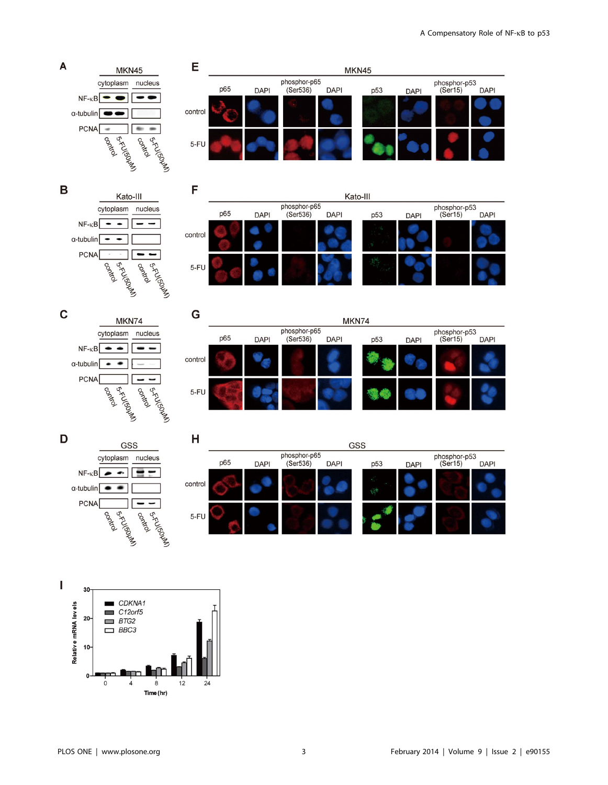

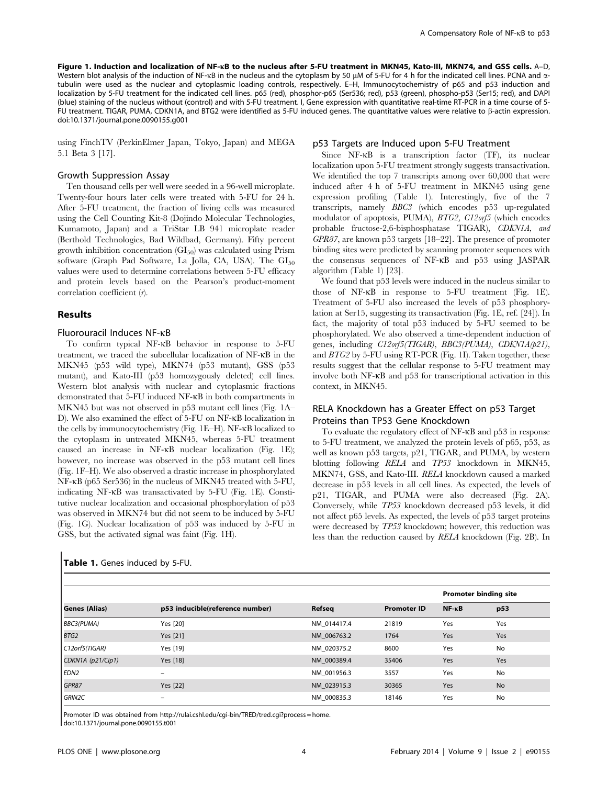Figure 1. Induction and localization of NF-kB to the nucleus after 5-FU treatment in MKN45, Kato-III, MKN74, and GSS cells. A–D, Western blot analysis of the induction of NF-kB in the nucleus and the cytoplasm by 50  $\mu$ M of 5-FU for 4 h for the indicated cell lines. PCNA and  $\alpha$ tubulin were used as the nuclear and cytoplasmic loading controls, respectively. E–H, Immunocytochemistry of p65 and p53 induction and localization by 5-FU treatment for the indicated cell lines. p65 (red), phosphor-p65 (Ser536; red), p53 (green), phospho-p53 (Ser15; red), and DAPI (blue) staining of the nucleus without (control) and with 5-FU treatment. I, Gene expression with quantitative real-time RT-PCR in a time course of 5- FU treatment. TIGAR, PUMA, CDKN1A, and BTG2 were identified as 5-FU induced genes. The quantitative values were relative to  $\beta$ -actin expression. doi:10.1371/journal.pone.0090155.g001

using FinchTV (PerkinElmer Japan, Tokyo, Japan) and MEGA 5.1 Beta 3 [17].

#### Growth Suppression Assay

Ten thousand cells per well were seeded in a 96-well microplate. Twenty-four hours later cells were treated with 5-FU for 24 h. After 5-FU treatment, the fraction of living cells was measured using the Cell Counting Kit-8 (Dojindo Molecular Technologies, Kumamoto, Japan) and a TriStar LB 941 microplate reader (Berthold Technologies, Bad Wildbad, Germany). Fifty percent growth inhibition concentration  $(GI_{50})$  was calculated using Prism software (Graph Pad Software, La Jolla, CA, USA). The  $GI_{50}$ values were used to determine correlations between 5-FU efficacy and protein levels based on the Pearson's product-moment correlation coefficient (r).

# Results

#### Fluorouracil Induces NF-kB

To confirm typical NF-kB behavior in response to 5-FU treatment, we traced the subcellular localization of NF-kB in the MKN45 (p53 wild type), MKN74 (p53 mutant), GSS (p53 mutant), and Kato-III (p53 homozygously deleted) cell lines. Western blot analysis with nuclear and cytoplasmic fractions demonstrated that 5-FU induced NF-kB in both compartments in MKN45 but was not observed in p53 mutant cell lines (Fig. 1A– D). We also examined the effect of 5-FU on NF-kB localization in the cells by immunocytochemistry (Fig. 1E–H). NF-kB localized to the cytoplasm in untreated MKN45, whereas 5-FU treatment caused an increase in NF-kB nuclear localization (Fig. 1E); however, no increase was observed in the p53 mutant cell lines (Fig. 1F–H). We also observed a drastic increase in phosphorylated NF-kB (p65 Ser536) in the nucleus of MKN45 treated with 5-FU, indicating NF-kB was transactivated by 5-FU (Fig. 1E). Constitutive nuclear localization and occasional phosphorylation of p53 was observed in MKN74 but did not seem to be induced by 5-FU (Fig. 1G). Nuclear localization of p53 was induced by 5-FU in GSS, but the activated signal was faint (Fig. 1H).

Table 1. Genes induced by 5-FU.

#### p53 Targets are Induced upon 5-FU Treatment

Since NF- $\kappa$ B is a transcription factor (TF), its nuclear localization upon 5-FU treatment strongly suggests transactivation. We identified the top 7 transcripts among over 60,000 that were induced after 4 h of 5-FU treatment in MKN45 using gene expression profiling (Table 1). Interestingly, five of the 7 transcripts, namely BBC3 (which encodes p53 up-regulated modulator of apoptosis, PUMA), BTG2, C12orf5 (which encodes probable fructose-2,6-bisphosphatase TIGAR), CDKN1A, and GPR87, are known p53 targets [18–22]. The presence of promoter binding sites were predicted by scanning promoter sequences with the consensus sequences of NF-kB and p53 using JASPAR algorithm (Table 1) [23].

We found that p53 levels were induced in the nucleus similar to those of NF-kB in response to 5-FU treatment (Fig. 1E). Treatment of 5-FU also increased the levels of p53 phosphorylation at Ser15, suggesting its transactivation (Fig. 1E, ref. [24]). In fact, the majority of total p53 induced by 5-FU seemed to be phosphorylated. We also observed a time-dependent induction of genes, including C12orf5(TIGAR), BBC3(PUMA), CDKN1A(p21), and BTG2 by 5-FU using RT-PCR (Fig. 1I). Taken together, these results suggest that the cellular response to 5-FU treatment may involve both NF-kB and p53 for transcriptional activation in this context, in MKN45.

# RELA Knockdown has a Greater Effect on p53 Target Proteins than TP53 Gene Knockdown

To evaluate the regulatory effect of NF-kB and p53 in response to 5-FU treatment, we analyzed the protein levels of p65, p53, as well as known p53 targets, p21, TIGAR, and PUMA, by western blotting following RELA and TP53 knockdown in MKN45, MKN74, GSS, and Kato-III. RELA knockdown caused a marked decrease in p53 levels in all cell lines. As expected, the levels of p21, TIGAR, and PUMA were also decreased (Fig. 2A). Conversely, while TP53 knockdown decreased p53 levels, it did not affect p65 levels. As expected, the levels of p53 target proteins were decreased by TP53 knockdown; however, this reduction was less than the reduction caused by RELA knockdown (Fig. 2B). In

|                      |                                 |             |                    | <b>Promoter binding site</b> |           |
|----------------------|---------------------------------|-------------|--------------------|------------------------------|-----------|
| <b>Genes (Alias)</b> | p53 inducible(reference number) | Refseq      | <b>Promoter ID</b> | $NF - KB$                    | p53       |
| BBC3(PUMA)           | Yes [20]                        | NM 014417.4 | 21819              | Yes                          | Yes       |
| BTG2                 | Yes [21]                        | NM_006763.2 | 1764               | <b>Yes</b>                   | Yes       |
| C12orf5(TIGAR)       | Yes [19]                        | NM_020375.2 | 8600               | Yes                          | No        |
| CDKN1A (p21/Cip1)    | Yes [18]                        | NM_000389.4 | 35406              | <b>Yes</b>                   | Yes       |
| EDN <sub>2</sub>     | $\qquad \qquad$                 | NM 001956.3 | 3557               | Yes                          | No        |
| GPR87                | Yes [22]                        | NM 023915.3 | 30365              | Yes                          | <b>No</b> |
| GRIN2C               | -                               | NM_000835.3 | 18146              | Yes                          | No        |

Promoter ID was obtained from [http://rulai.cshl.edu/cgi-bin/TRED/tred.cgi?process = home.](http://rulai.cshl.edu/cgi-bin/TRED/tred.cgi?process=home) doi:10.1371/journal.pone.0090155.t001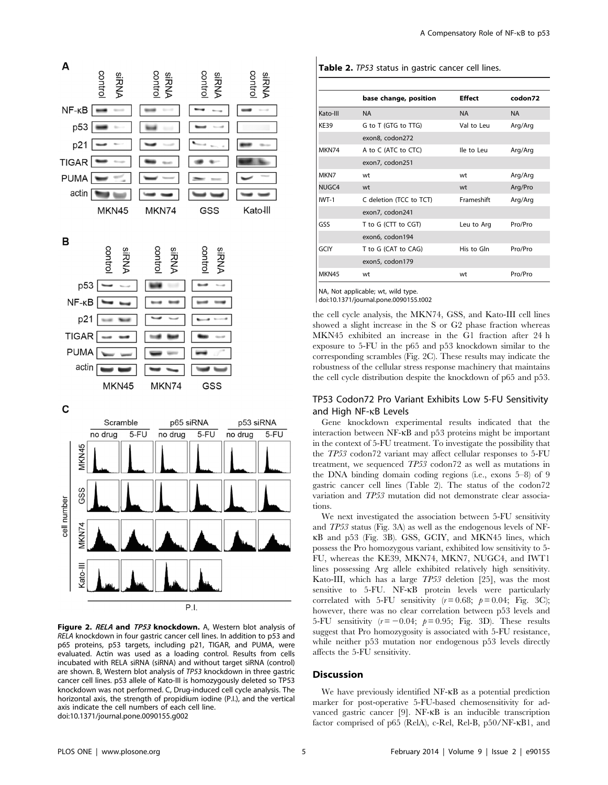







Figure 2. RELA and TP53 knockdown. A, Western blot analysis of RELA knockdown in four gastric cancer cell lines. In addition to p53 and p65 proteins, p53 targets, including p21, TIGAR, and PUMA, were evaluated. Actin was used as a loading control. Results from cells incubated with RELA siRNA (siRNA) and without target siRNA (control) are shown. B, Western blot analysis of TP53 knockdown in three gastric cancer cell lines. p53 allele of Kato-III is homozygously deleted so TP53 knockdown was not performed. C, Drug-induced cell cycle analysis. The horizontal axis, the strength of propidium iodine (P.I.), and the vertical axis indicate the cell numbers of each cell line. doi:10.1371/journal.pone.0090155.g002

| Table 2. TP53 status in gastric cancer cell lines. |  |  |  |  |  |  |  |
|----------------------------------------------------|--|--|--|--|--|--|--|
|----------------------------------------------------|--|--|--|--|--|--|--|

|             | base change, position   | <b>Effect</b> | codon72   |
|-------------|-------------------------|---------------|-----------|
| Kato-III    | <b>NA</b>               | <b>NA</b>     | <b>NA</b> |
| <b>KE39</b> | G to T (GTG to TTG)     | Val to Leu    | Arg/Arg   |
|             | exon8, codon272         |               |           |
| MKN74       | A to C (ATC to CTC)     | lle to Leu    | Arg/Arg   |
|             | exon7, codon251         |               |           |
| MKN7        | wt                      | wt            | Arg/Arg   |
| NUGC4       | wt                      | wt            | Arg/Pro   |
| $IWT-1$     | C deletion (TCC to TCT) | Frameshift    | Arg/Arg   |
|             | exon7, codon241         |               |           |
| GSS         | T to G (CTT to CGT)     | Leu to Arg    | Pro/Pro   |
|             | exon6, codon194         |               |           |
| <b>GCIY</b> | T to G (CAT to CAG)     | His to Gln    | Pro/Pro   |
|             | exon5, codon179         |               |           |
| MKN45       | wt                      | wt            | Pro/Pro   |
|             |                         |               |           |

NA, Not applicable; wt, wild type.

doi:10.1371/journal.pone.0090155.t002

the cell cycle analysis, the MKN74, GSS, and Kato-III cell lines showed a slight increase in the S or G2 phase fraction whereas MKN45 exhibited an increase in the G1 fraction after 24 h exposure to 5-FU in the p65 and p53 knockdown similar to the corresponding scrambles (Fig. 2C). These results may indicate the robustness of the cellular stress response machinery that maintains the cell cycle distribution despite the knockdown of p65 and p53.

# TP53 Codon72 Pro Variant Exhibits Low 5-FU Sensitivity and High NF-kB Levels

Gene knockdown experimental results indicated that the interaction between NF-kB and p53 proteins might be important in the context of 5-FU treatment. To investigate the possibility that the TP53 codon72 variant may affect cellular responses to 5-FU treatment, we sequenced TP53 codon72 as well as mutations in the DNA binding domain coding regions (i.e., exons 5–8) of 9 gastric cancer cell lines (Table 2). The status of the codon72 variation and TP53 mutation did not demonstrate clear associations.

We next investigated the association between 5-FU sensitivity and TP53 status (Fig. 3A) as well as the endogenous levels of NFkB and p53 (Fig. 3B). GSS, GCIY, and MKN45 lines, which possess the Pro homozygous variant, exhibited low sensitivity to 5- FU, whereas the KE39, MKN74, MKN7, NUGC4, and IWT1 lines possessing Arg allele exhibited relatively high sensitivity. Kato-III, which has a large TP53 deletion [25], was the most sensitive to 5-FU. NF-KB protein levels were particularly correlated with 5-FU sensitivity  $(r=0.68; p=0.04;$  Fig. 3C); however, there was no clear correlation between p53 levels and 5-FU sensitivity  $(r = -0.04; p = 0.95; Fig. 3D)$ . These results suggest that Pro homozygosity is associated with 5-FU resistance, while neither p53 mutation nor endogenous p53 levels directly affects the 5-FU sensitivity.

#### **Discussion**

We have previously identified NF- $\kappa$ B as a potential prediction marker for post-operative 5-FU-based chemosensitivity for advanced gastric cancer [9]. NF-kB is an inducible transcription factor comprised of p65 (RelA), c-Rel, Rel-B, p50/NF-kB1, and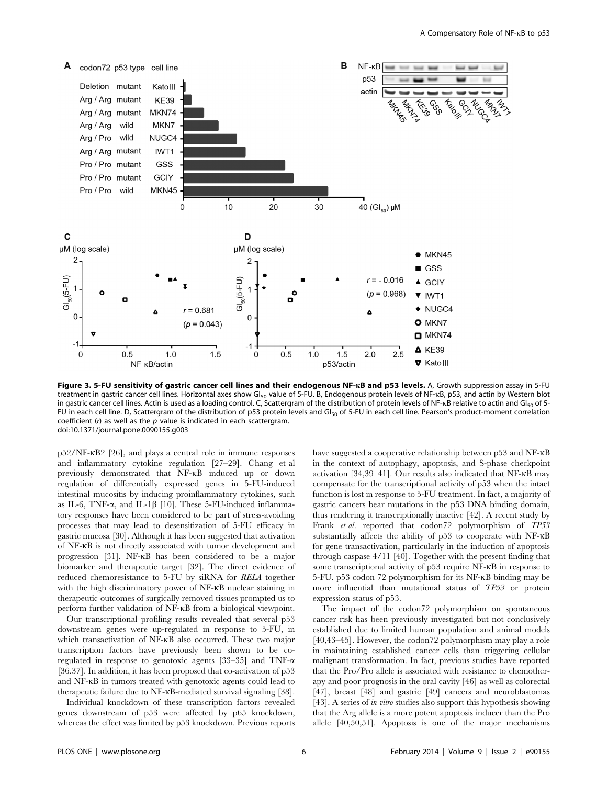

Figure 3. 5-FU sensitivity of gastric cancer cell lines and their endogenous NF-KB and p53 levels. A, Growth suppression assay in 5-FU treatment in gastric cancer cell lines. Horizontal axes show GI<sub>50</sub> value of 5-FU. B, Endogenous protein levels of NF-kB, p53, and actin by Western blot in gastric cancer cell lines. Actin is used as a loading control. C, Scattergram of the distribution of protein levels of NF-kB relative to actin and GI<sub>50</sub> of 5-FU in each cell line. D, Scattergram of the distribution of p53 protein levels and GI<sub>50</sub> of 5-FU in each cell line. Pearson's product-moment correlation coefficient  $(r)$  as well as the  $p$  value is indicated in each scattergram. doi:10.1371/journal.pone.0090155.g003

p52/NF-kB2 [26], and plays a central role in immune responses and inflammatory cytokine regulation [27–29]. Chang et al previously demonstrated that NF-kB induced up or down regulation of differentially expressed genes in 5-FU-induced intestinal mucositis by inducing proinflammatory cytokines, such as IL-6, TNF- $\alpha$ , and IL-1 $\beta$  [10]. These 5-FU-induced inflammatory responses have been considered to be part of stress-avoiding processes that may lead to desensitization of 5-FU efficacy in gastric mucosa [30]. Although it has been suggested that activation of NF-kB is not directly associated with tumor development and progression [31], NF-kB has been considered to be a major biomarker and therapeutic target [32]. The direct evidence of reduced chemoresistance to 5-FU by siRNA for RELA together with the high discriminatory power of NF-KB nuclear staining in therapeutic outcomes of surgically removed tissues prompted us to perform further validation of NF-kB from a biological viewpoint.

Our transcriptional profiling results revealed that several p53 downstream genes were up-regulated in response to 5-FU, in which transactivation of NF- $\kappa$ B also occurred. These two major transcription factors have previously been shown to be coregulated in response to genotoxic agents [33–35] and TNF- $\alpha$ [36,37]. In addition, it has been proposed that co-activation of p53 and NF-kB in tumors treated with genotoxic agents could lead to therapeutic failure due to NF-kB-mediated survival signaling [38].

Individual knockdown of these transcription factors revealed genes downstream of p53 were affected by p65 knockdown, whereas the effect was limited by p53 knockdown. Previous reports have suggested a cooperative relationship between p53 and NF- $\kappa$ B in the context of autophagy, apoptosis, and S-phase checkpoint activation [34,39–41]. Our results also indicated that NF-kB may compensate for the transcriptional activity of p53 when the intact function is lost in response to 5-FU treatment. In fact, a majority of gastric cancers bear mutations in the p53 DNA binding domain, thus rendering it transcriptionally inactive [42]. A recent study by Frank et al. reported that codon72 polymorphism of TP53 substantially affects the ability of p53 to cooperate with NF-kB for gene transactivation, particularly in the induction of apoptosis through caspase 4/11 [40]. Together with the present finding that some transcriptional activity of p53 require NF-kB in response to 5-FU, p53 codon 72 polymorphism for its NF-kB binding may be more influential than mutational status of TP53 or protein expression status of p53.

The impact of the codon72 polymorphism on spontaneous cancer risk has been previously investigated but not conclusively established due to limited human population and animal models [40,43–45]. However, the codon72 polymorphism may play a role in maintaining established cancer cells than triggering cellular malignant transformation. In fact, previous studies have reported that the Pro/Pro allele is associated with resistance to chemotherapy and poor prognosis in the oral cavity [46] as well as colorectal [47], breast [48] and gastric [49] cancers and neuroblastomas [43]. A series of *in vitro* studies also support this hypothesis showing that the Arg allele is a more potent apoptosis inducer than the Pro allele [40,50,51]. Apoptosis is one of the major mechanisms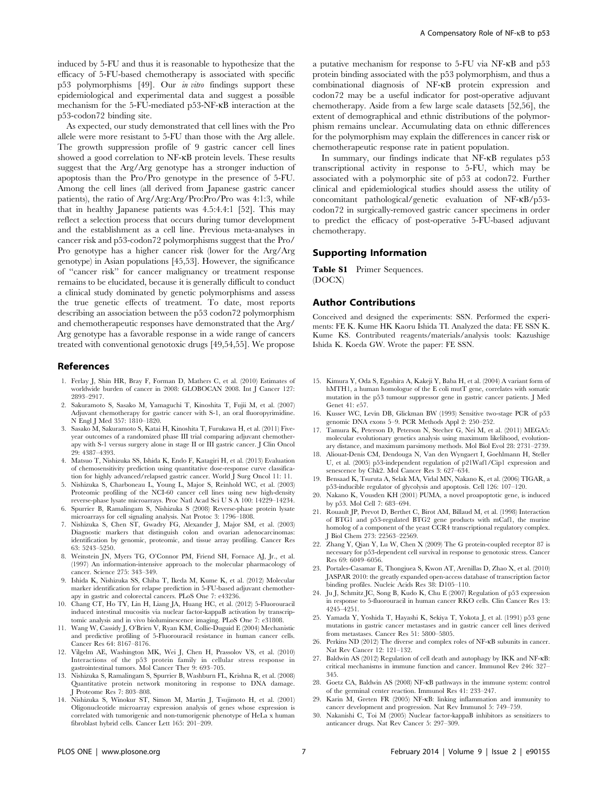induced by 5-FU and thus it is reasonable to hypothesize that the efficacy of 5-FU-based chemotherapy is associated with specific p53 polymorphisms [49]. Our in vitro findings support these epidemiological and experimental data and suggest a possible mechanism for the 5-FU-mediated p53-NF-kB interaction at the p53-codon72 binding site.

As expected, our study demonstrated that cell lines with the Pro allele were more resistant to 5-FU than those with the Arg allele. The growth suppression profile of 9 gastric cancer cell lines showed a good correlation to NF-kB protein levels. These results suggest that the Arg/Arg genotype has a stronger induction of apoptosis than the Pro/Pro genotype in the presence of 5-FU. Among the cell lines (all derived from Japanese gastric cancer patients), the ratio of Arg/Arg:Arg/Pro:Pro/Pro was 4:1:3, while that in healthy Japanese patients was 4.5:4.4:1 [52]. This may reflect a selection process that occurs during tumor development and the establishment as a cell line. Previous meta-analyses in cancer risk and p53-codon72 polymorphisms suggest that the Pro/ Pro genotype has a higher cancer risk (lower for the Arg/Arg genotype) in Asian populations [45,53]. However, the significance of ''cancer risk'' for cancer malignancy or treatment response remains to be elucidated, because it is generally difficult to conduct a clinical study dominated by genetic polymorphisms and assess the true genetic effects of treatment. To date, most reports describing an association between the p53 codon72 polymorphism and chemotherapeutic responses have demonstrated that the Arg/ Arg genotype has a favorable response in a wide range of cancers treated with conventional genotoxic drugs [49,54,55]. We propose

# References

- 1. Ferlay J, Shin HR, Bray F, Forman D, Mathers C, et al. (2010) Estimates of worldwide burden of cancer in 2008: GLOBOCAN 2008. Int J Cancer 127: 2893–2917.
- 2. Sakuramoto S, Sasako M, Yamaguchi T, Kinoshita T, Fujii M, et al. (2007) Adjuvant chemotherapy for gastric cancer with S-1, an oral fluoropyrimidine. N Engl J Med 357: 1810–1820.
- 3. Sasako M, Sakuramoto S, Katai H, Kinoshita T, Furukawa H, et al. (2011) Fiveyear outcomes of a randomized phase III trial comparing adjuvant chemotherapy with S-1 versus surgery alone in stage II or III gastric cancer. J Clin Oncol 29: 4387–4393.
- 4. Matsuo T, Nishizuka SS, Ishida K, Endo F, Katagiri H, et al. (2013) Evaluation of chemosensitivity prediction using quantitative dose-response curve classification for highly advanced/relapsed gastric cancer. World J Surg Oncol 11: 11.
- 5. Nishizuka S, Charboneau L, Young L, Major S, Reinhold WC, et al. (2003) Proteomic profiling of the NCI-60 cancer cell lines using new high-density reverse-phase lysate microarrays. Proc Natl Acad Sci U S A 100: 14229–14234.
- 6. Spurrier B, Ramalingam S, Nishizuka S (2008) Reverse-phase protein lysate microarrays for cell signaling analysis. Nat Protoc 3: 1796–1808.
- 7. Nishizuka S, Chen ST, Gwadry FG, Alexander J, Major SM, et al. (2003) Diagnostic markers that distinguish colon and ovarian adenocarcinomas: identification by genomic, proteomic, and tissue array profiling. Cancer Res 63: 5243–5250.
- 8. Weinstein JN, Myers TG, O'Connor PM, Friend SH, Fornace AJ, Jr., et al. (1997) An information-intensive approach to the molecular pharmacology of cancer. Science 275: 343–349.
- 9. Ishida K, Nishizuka SS, Chiba T, Ikeda M, Kume K, et al. (2012) Molecular marker identification for relapse prediction in 5-FU-based adjuvant chemotherapy in gastric and colorectal cancers. PLoS One 7: e43236.
- 10. Chang CT, Ho TY, Lin H, Liang JA, Huang HC, et al. (2012) 5-Fluorouracil induced intestinal mucositis via nuclear factor-kappaB activation by transcriptomic analysis and in vivo bioluminescence imaging. PLoS One 7: e31808.
- 11. Wang W, Cassidy J, O'Brien V, Ryan KM, Collie-Duguid E (2004) Mechanistic and predictive profiling of 5-Fluorouracil resistance in human cancer cells. Cancer Res 64: 8167–8176.
- 12. Vilgelm AE, Washington MK, Wei J, Chen H, Prassolov VS, et al. (2010) Interactions of the p53 protein family in cellular stress response in gastrointestinal tumors. Mol Cancer Ther 9: 693–705.
- 13. Nishizuka S, Ramalingam S, Spurrier B, Washburn FL, Krishna R, et al. (2008) Quantitative protein network monitoring in response to DNA damage. J Proteome Res 7: 803–808.
- 14. Nishizuka S, Winokur ST, Simon M, Martin J, Tsujimoto H, et al. (2001) Oligonucleotide microarray expression analysis of genes whose expression is correlated with tumorigenic and non-tumorigenic phenotype of HeLa x human fibroblast hybrid cells. Cancer Lett 165: 201–209.

a putative mechanism for response to 5-FU via NF-kB and p53 protein binding associated with the p53 polymorphism, and thus a combinational diagnosis of NF-kB protein expression and codon72 may be a useful indicator for post-operative adjuvant chemotherapy. Aside from a few large scale datasets [52,56], the extent of demographical and ethnic distributions of the polymorphism remains unclear. Accumulating data on ethnic differences for the polymorphism may explain the differences in cancer risk or chemotherapeutic response rate in patient population.

In summary, our findings indicate that NF-kB regulates p53 transcriptional activity in response to 5-FU, which may be associated with a polymorphic site of p53 at codon72. Further clinical and epidemiological studies should assess the utility of concomitant pathological/genetic evaluation of NF-kB/p53 codon72 in surgically-removed gastric cancer specimens in order to predict the efficacy of post-operative 5-FU-based adjuvant chemotherapy.

### Supporting Information

Table S1 Primer Sequences. (DOCX)

### Author Contributions

Conceived and designed the experiments: SSN. Performed the experiments: FE K. Kume HK Kaoru Ishida TI. Analyzed the data: FE SSN K. Kume KS. Contributed reagents/materials/analysis tools: Kazushige Ishida K. Koeda GW. Wrote the paper: FE SSN.

- 15. Kimura Y, Oda S, Egashira A, Kakeji Y, Baba H, et al. (2004) A variant form of hMTH1, a human homologue of the E coli mutT gene, correlates with somatic mutation in the p53 tumour suppressor gene in gastric cancer patients. J Med Genet 41: e57.
- 16. Kusser WC, Levin DB, Glickman BW (1993) Sensitive two-stage PCR of p53 genomic DNA exons 5–9. PCR Methods Appl 2: 250–252.
- 17. Tamura K, Peterson D, Peterson N, Stecher G, Nei M, et al. (2011) MEGA5: molecular evolutionary genetics analysis using maximum likelihood, evolutionary distance, and maximum parsimony methods. Mol Biol Evol 28: 2731–2739.
- 18. Aliouat-Denis CM, Dendouga N, Van den Wyngaert I, Goehlmann H, Steller U, et al. (2005) p53-independent regulation of p21Waf1/Cip1 expression and senescence by Chk2. Mol Cancer Res 3: 627–634.
- 19. Bensaad K, Tsuruta A, Selak MA, Vidal MN, Nakano K, et al. (2006) TIGAR, a p53-inducible regulator of glycolysis and apoptosis. Cell 126: 107–120.
- 20. Nakano K, Vousden KH (2001) PUMA, a novel proapoptotic gene, is induced by p53. Mol Cell 7: 683–694.
- 21. Rouault JP, Prevot D, Berthet C, Birot AM, Billaud M, et al. (1998) Interaction of BTG1 and p53-regulated BTG2 gene products with mCaf1, the murine homolog of a component of the yeast CCR4 transcriptional regulatory complex. J Biol Chem 273: 22563–22569.
- 22. Zhang Y, Qian Y, Lu W, Chen X (2009) The G protein-coupled receptor 87 is necessary for p53-dependent cell survival in response to genotoxic stress. Cancer Res 69: 6049–6056.
- 23. Portales-Casamar E, Thongjuea S, Kwon AT, Arenillas D, Zhao X, et al. (2010) JASPAR 2010: the greatly expanded open-access database of transcription factor binding profiles. Nucleic Acids Res 38: D105–110.
- 24. Ju J, Schmitz JC, Song B, Kudo K, Chu E (2007) Regulation of p53 expression in response to 5-fluorouracil in human cancer RKO cells. Clin Cancer Res 13: 4245–4251.
- 25. Yamada Y, Yoshida T, Hayashi K, Sekiya T, Yokota J, et al. (1991) p53 gene mutations in gastric cancer metastases and in gastric cancer cell lines derived from metastases. Cancer Res 51: 5800–5805.
- 26. Perkins ND (2012) The diverse and complex roles of NF-kB subunits in cancer. Nat Rev Cancer 12: 121–132.
- 27. Baldwin AS (2012) Regulation of cell death and autophagy by IKK and NF-kB: critical mechanisms in immune function and cancer. Immunol Rev 246: 327– 345.
- 28. Goetz CA, Baldwin AS (2008) NF-kB pathways in the immune system: control of the germinal center reaction. Immunol Res 41: 233–247.
- 29. Karin M, Greten FR (2005) NF-kB: linking inflammation and immunity to cancer development and progression. Nat Rev Immunol 5: 749–759.
- 30. Nakanishi C, Toi M (2005) Nuclear factor-kappaB inhibitors as sensitizers to anticancer drugs. Nat Rev Cancer 5: 297–309.